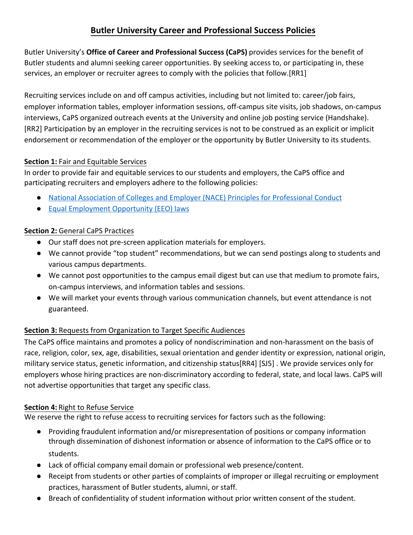# **Butler University Career and Professional Success Policies**

Butler University's **Office of Career and Professional Success (CaPS)** provides services for the benefit of Butler students and alumni seeking career opportunities. By seeking access to, or participating in, these services, an employer or recruiter agrees to comply with the policies that follow.[RR1]

Recruiting services include on and off campus activities, including but not limited to: career/job fairs, employer information tables, employer information sessions, off-campus site visits, job shadows, on-campus interviews, CaPS organized outreach events at the University and online job posting service (Handshake). [RR2] Participation by an employer in the recruiting services is not to be construed as an explicit or implicit endorsement or recommendation of the employer or the opportunity by Butler University to its students.

## **Section 1:** Fair and Equitable Services

In order to provide fair and equitable services to our students and employers, the CaPS office and participating recruiters and employers adhere to the following policies:

- [National Association of Colleges and Employer \(NACE\) Principles for Professional Conduct](https://www.naceweb.org/career-development/organizational-structure/principles-for-ethical-professional-practice/)
- [Equal Employment Opportunity \(EEO\)](https://www.eeoc.gov/employers/index.cfm) laws

# **Section 2:** General CaPS Practices

- Our staff does not pre-screen application materials for employers.
- We cannot provide "top student" recommendations, but we can send postings along to students and various campus departments.
- We cannot post opportunities to the campus email digest but can use that medium to promote fairs, on-campus interviews, and information tables and sessions.
- We will market your events through various communication channels, but event attendance is not guaranteed.

# **Section 3:** Requests from Organization to Target Specific Audiences

The CaPS office maintains and promotes a policy of nondiscrimination and non-harassment on the basis of race, religion, color, sex, age, disabilities, sexual orientation and gender identity or expression, national origin, military service status, genetic information, and citizenship status[RR4] [SJ5] . We provide services only for employers whose hiring practices are non-discriminatory according to federal, state, and local laws. CaPS will not advertise opportunities that target any specific class.

## **Section 4:** Right to Refuse Service

We reserve the right to refuse access to recruiting services for factors such as the following:

- Providing fraudulent information and/or misrepresentation of positions or company information through dissemination of dishonest information or absence of information to the CaPS office or to students.
- Lack of official company email domain or professional web presence/content.
- Receipt from students or other parties of complaints of improper or illegal recruiting or employment practices, harassment of Butler students, alumni, or staff.
- Breach of confidentiality of student information without prior written consent of the student.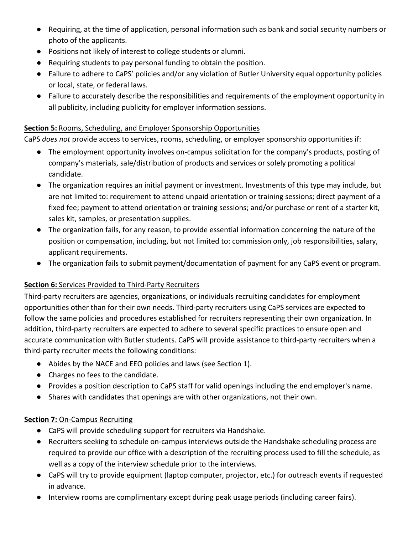- Requiring, at the time of application, personal information such as bank and social security numbers or photo of the applicants.
- Positions not likely of interest to college students or alumni.
- Requiring students to pay personal funding to obtain the position.
- Failure to adhere to CaPS' policies and/or any violation of Butler University equal opportunity policies or local, state, or federal laws.
- Failure to accurately describe the responsibilities and requirements of the employment opportunity in all publicity, including publicity for employer information sessions.

#### **Section 5:** Rooms, Scheduling, and Employer Sponsorship Opportunities

CaPS *does not* provide access to services, rooms, scheduling, or employer sponsorship opportunities if:

- The employment opportunity involves on-campus solicitation for the company's products, posting of company's materials, sale/distribution of products and services or solely promoting a political candidate.
- The organization requires an initial payment or investment. Investments of this type may include, but are not limited to: requirement to attend unpaid orientation or training sessions; direct payment of a fixed fee; payment to attend orientation or training sessions; and/or purchase or rent of a starter kit, sales kit, samples, or presentation supplies.
- The organization fails, for any reason, to provide essential information concerning the nature of the position or compensation, including, but not limited to: commission only, job responsibilities, salary, applicant requirements.
- The organization fails to submit payment/documentation of payment for any CaPS event or program.

#### **Section 6:** Services Provided to Third-Party Recruiters

Third-party recruiters are agencies, organizations, or individuals recruiting candidates for employment opportunities other than for their own needs. Third-party recruiters using CaPS services are expected to follow the same policies and procedures established for recruiters representing their own organization. In addition, third-party recruiters are expected to adhere to several specific practices to ensure open and accurate communication with Butler students. CaPS will provide assistance to third-party recruiters when a third-party recruiter meets the following conditions:

- Abides by the NACE and EEO policies and laws (see Section 1).
- Charges no fees to the candidate.
- Provides a position description to CaPS staff for valid openings including the end employer's name.
- Shares with candidates that openings are with other organizations, not their own.

#### **Section 7: On-Campus Recruiting**

- CaPS will provide scheduling support for recruiters via Handshake.
- Recruiters seeking to schedule on-campus interviews outside the Handshake scheduling process are required to provide our office with a description of the recruiting process used to fill the schedule, as well as a copy of the interview schedule prior to the interviews.
- CaPS will try to provide equipment (laptop computer, projector, etc.) for outreach events if requested in advance.
- Interview rooms are complimentary except during peak usage periods (including career fairs).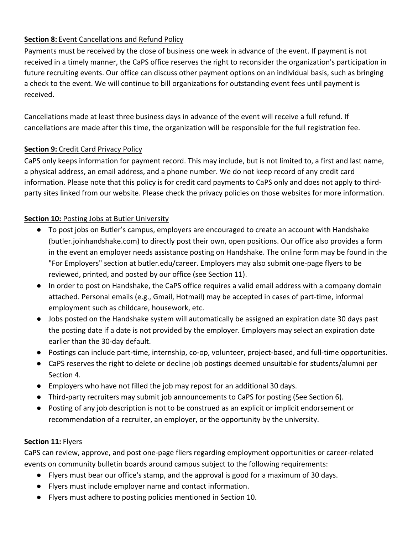## **Section 8:** Event Cancellations and Refund Policy

Payments must be received by the close of business one week in advance of the event. If payment is not received in a timely manner, the CaPS office reserves the right to reconsider the organization's participation in future recruiting events. Our office can discuss other payment options on an individual basis, such as bringing a check to the event. We will continue to bill organizations for outstanding event fees until payment is received.

Cancellations made at least three business days in advance of the event will receive a full refund. If cancellations are made after this time, the organization will be responsible for the full registration fee.

#### **Section 9: Credit Card Privacy Policy**

CaPS only keeps information for payment record. This may include, but is not limited to, a first and last name, a physical address, an email address, and a phone number. We do not keep record of any credit card information. Please note that this policy is for credit card payments to CaPS only and does not apply to thirdparty sites linked from our website. Please check the privacy policies on those websites for more information.

#### **Section 10: Posting Jobs at Butler University**

- To post jobs on Butler's campus, employers are encouraged to create an account with Handshake (butler.joinhandshake.com) to directly post their own, open positions. Our office also provides a form in the event an employer needs assistance posting on Handshake. The online form may be found in the "For Employers" section at butler.edu/career. Employers may also submit one-page flyers to be reviewed, printed, and posted by our office (see Section 11).
- In order to post on Handshake, the CaPS office requires a valid email address with a company domain attached. Personal emails (e.g., Gmail, Hotmail) may be accepted in cases of part-time, informal employment such as childcare, housework, etc.
- Jobs posted on the Handshake system will automatically be assigned an expiration date 30 days past the posting date if a date is not provided by the employer. Employers may select an expiration date earlier than the 30-day default.
- Postings can include part-time, internship, co-op, volunteer, project-based, and full-time opportunities.
- CaPS reserves the right to delete or decline job postings deemed unsuitable for students/alumni per Section 4.
- Employers who have not filled the job may repost for an additional 30 days.
- Third-party recruiters may submit job announcements to CaPS for posting (See Section 6).
- Posting of any job description is not to be construed as an explicit or implicit endorsement or recommendation of a recruiter, an employer, or the opportunity by the university.

#### **Section 11:** Flyers

CaPS can review, approve, and post one-page fliers regarding employment opportunities or career-related events on community bulletin boards around campus subject to the following requirements:

- Flyers must bear our office's stamp, and the approval is good for a maximum of 30 days.
- Flyers must include employer name and contact information.
- Flyers must adhere to posting policies mentioned in Section 10.